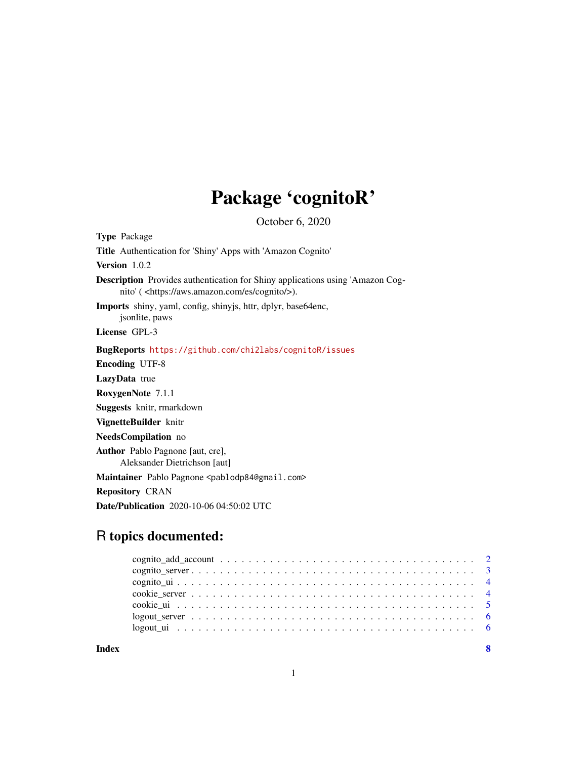# Package 'cognitoR'

October 6, 2020

Type Package Title Authentication for 'Shiny' Apps with 'Amazon Cognito' Version 1.0.2 Description Provides authentication for Shiny applications using 'Amazon Cognito' ( <https://aws.amazon.com/es/cognito/>). Imports shiny, yaml, config, shinyjs, httr, dplyr, base64enc, jsonlite, paws License GPL-3 BugReports <https://github.com/chi2labs/cognitoR/issues> Encoding UTF-8 LazyData true RoxygenNote 7.1.1 Suggests knitr, rmarkdown VignetteBuilder knitr NeedsCompilation no Author Pablo Pagnone [aut, cre], Aleksander Dietrichson [aut] Maintainer Pablo Pagnone <pablodp84@gmail.com> Repository CRAN Date/Publication 2020-10-06 04:50:02 UTC

# R topics documented:

| Index | -8 |
|-------|----|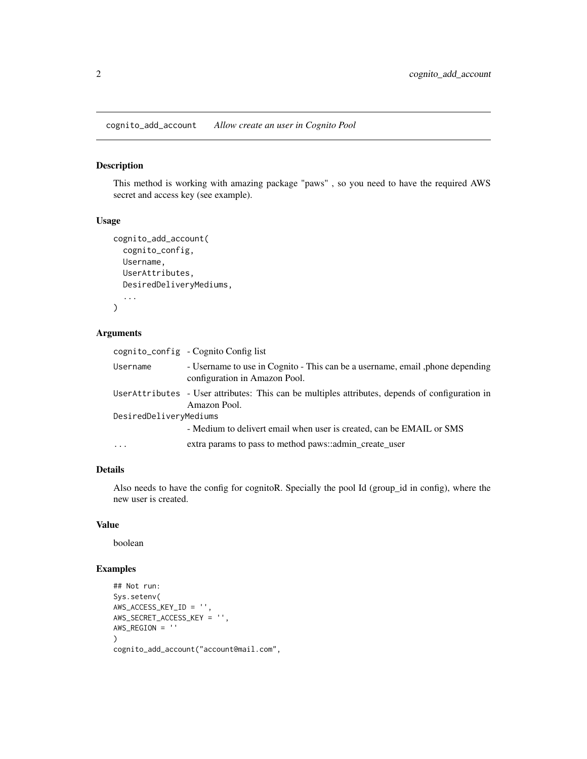<span id="page-1-0"></span>cognito\_add\_account *Allow create an user in Cognito Pool*

# Description

This method is working with amazing package "paws" , so you need to have the required AWS secret and access key (see example).

# Usage

```
cognito_add_account(
  cognito_config,
 Username,
 UserAttributes,
 DesiredDeliveryMediums,
  ...
)
```
# Arguments

| - Username to use in Cognito - This can be a username, email, phone depending<br>Username                       |  |  |  |  |  |
|-----------------------------------------------------------------------------------------------------------------|--|--|--|--|--|
| configuration in Amazon Pool.                                                                                   |  |  |  |  |  |
| UserAttributes - User attributes: This can be multiples attributes, depends of configuration in<br>Amazon Pool. |  |  |  |  |  |
| DesiredDeliveryMediums                                                                                          |  |  |  |  |  |
| - Medium to delivert email when user is created, can be EMAIL or SMS                                            |  |  |  |  |  |
| extra params to pass to method paws::admin_create_user<br>$\cdots$                                              |  |  |  |  |  |

# Details

Also needs to have the config for cognitoR. Specially the pool Id (group\_id in config), where the new user is created.

# Value

boolean

# Examples

```
## Not run:
Sys.setenv(
AWS_ACCESS_KEY_ID = '',
AWS_SECRET_ACCESS_KEY = '',
AWS_REGION = ''
\mathcal{L}cognito_add_account("account@mail.com",
```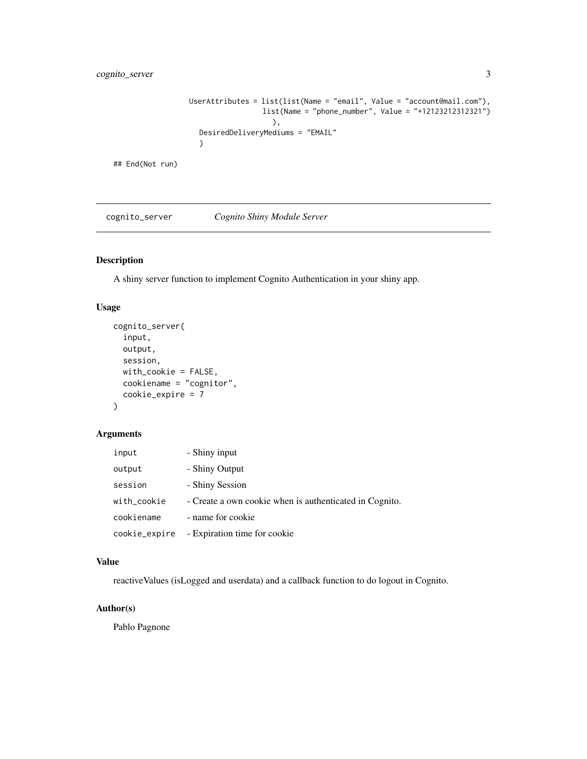# <span id="page-2-0"></span>cognito\_server 3

```
UserAttributes = list(list(Name = "email", Value = "account@mail.com"),
                 list(Name = "phone_number", Value = "+12123212312321")
                   ),
  DesiredDeliveryMediums = "EMAIL"
  )
```
## End(Not run)

cognito\_server *Cognito Shiny Module Server*

# Description

A shiny server function to implement Cognito Authentication in your shiny app.

## Usage

```
cognito_server(
  input,
 output,
  session,
 with_cookie = FALSE,
 cookiename = "cognitor",
  cookie_expire = 7
)
```
# Arguments

| input         | - Shiny input                                           |
|---------------|---------------------------------------------------------|
| output        | - Shiny Output                                          |
| session       | - Shiny Session                                         |
| with_cookie   | - Create a own cookie when is authenticated in Cognito. |
| cookiename    | - name for cookie                                       |
| cookie_expire | - Expiration time for cookie                            |

#### Value

reactiveValues (isLogged and userdata) and a callback function to do logout in Cognito.

# Author(s)

Pablo Pagnone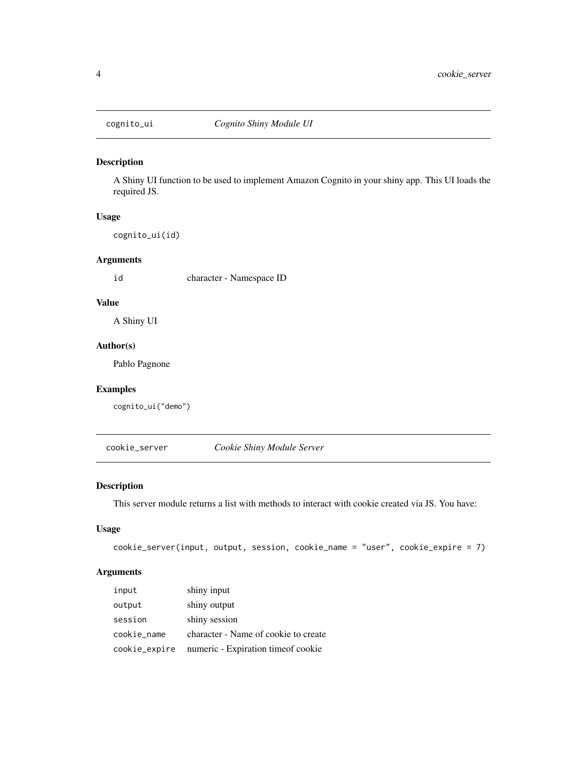<span id="page-3-0"></span>

# Description

A Shiny UI function to be used to implement Amazon Cognito in your shiny app. This UI loads the required JS.

# Usage

cognito\_ui(id)

# Arguments

id character - Namespace ID

# Value

A Shiny UI

# Author(s)

Pablo Pagnone

#### Examples

cognito\_ui("demo")

cookie\_server *Cookie Shiny Module Server*

# Description

This server module returns a list with methods to interact with cookie created via JS. You have:

#### Usage

```
cookie_server(input, output, session, cookie_name = "user", cookie_expire = 7)
```
# Arguments

| input         | shiny input                          |
|---------------|--------------------------------------|
| output        | shiny output                         |
| session       | shiny session                        |
| cookie_name   | character - Name of cookie to create |
| cookie_expire | numeric - Expiration time of cookie  |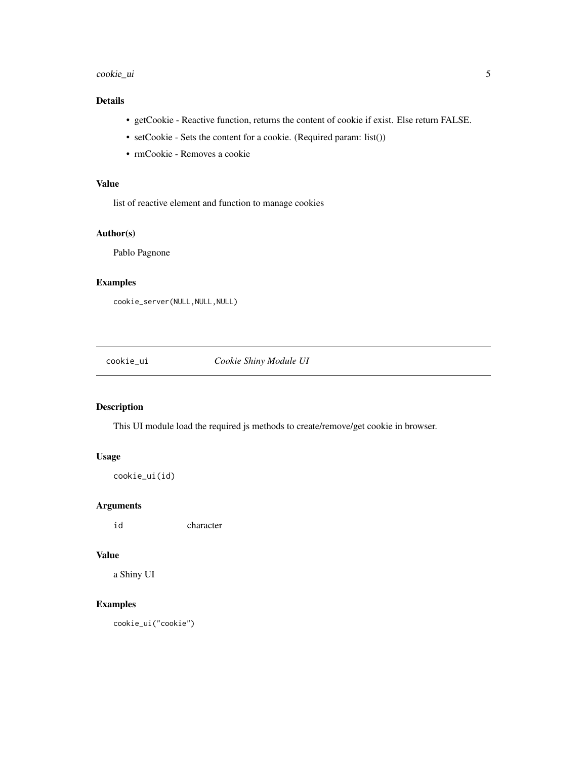#### <span id="page-4-0"></span>cookie\_ui 5

# Details

- getCookie Reactive function, returns the content of cookie if exist. Else return FALSE.
- setCookie Sets the content for a cookie. (Required param: list())
- rmCookie Removes a cookie

# Value

list of reactive element and function to manage cookies

# Author(s)

Pablo Pagnone

# Examples

```
cookie_server(NULL,NULL,NULL)
```
cookie\_ui *Cookie Shiny Module UI*

# Description

This UI module load the required js methods to create/remove/get cookie in browser.

# Usage

cookie\_ui(id)

# Arguments

id character

# Value

a Shiny UI

# Examples

cookie\_ui("cookie")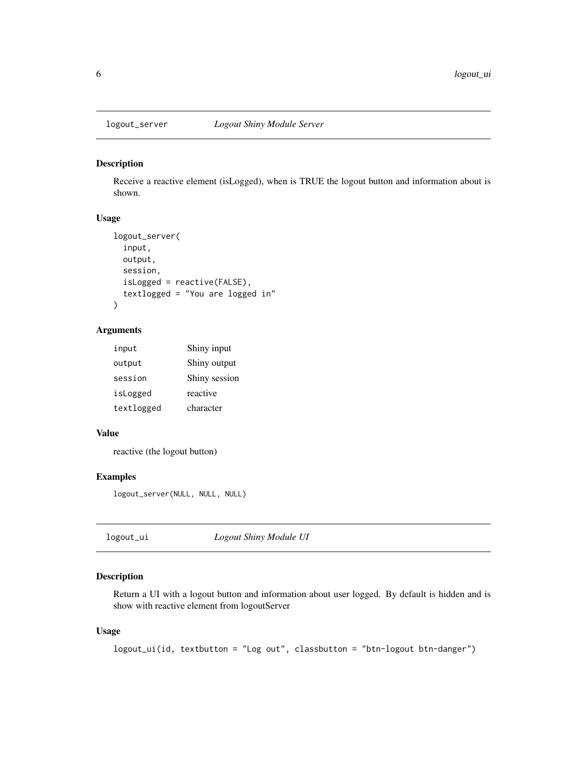<span id="page-5-0"></span>

# Description

Receive a reactive element (isLogged), when is TRUE the logout button and information about is shown.

# Usage

```
logout_server(
  input,
  output,
  session,
  isLogged = reactive(FALSE),
  textlogged = "You are logged in"
)
```
## Arguments

| input      | Shiny input   |
|------------|---------------|
| output     | Shiny output  |
| session    | Shiny session |
| isLogged   | reactive      |
| textlogged | character     |

# Value

reactive (the logout button)

# Examples

logout\_server(NULL, NULL, NULL)

| logout_ui | Logout Shiny Module UI |  |
|-----------|------------------------|--|
|-----------|------------------------|--|

# Description

Return a UI with a logout button and information about user logged. By default is hidden and is show with reactive element from logoutServer

# Usage

logout\_ui(id, textbutton = "Log out", classbutton = "btn-logout btn-danger")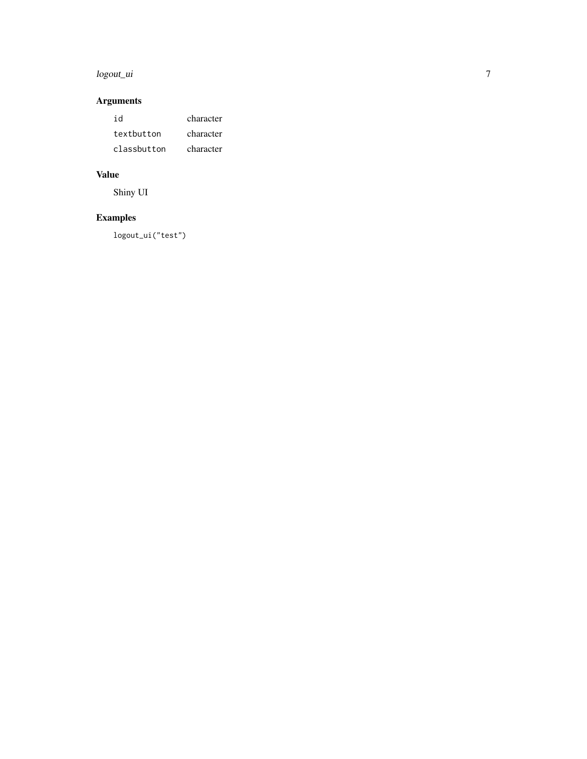# logout\_ui

# Arguments

| id          | character |
|-------------|-----------|
| textbutton  | character |
| classbutton | character |

# Value

Shiny UI

# Examples

logout\_ui("test")